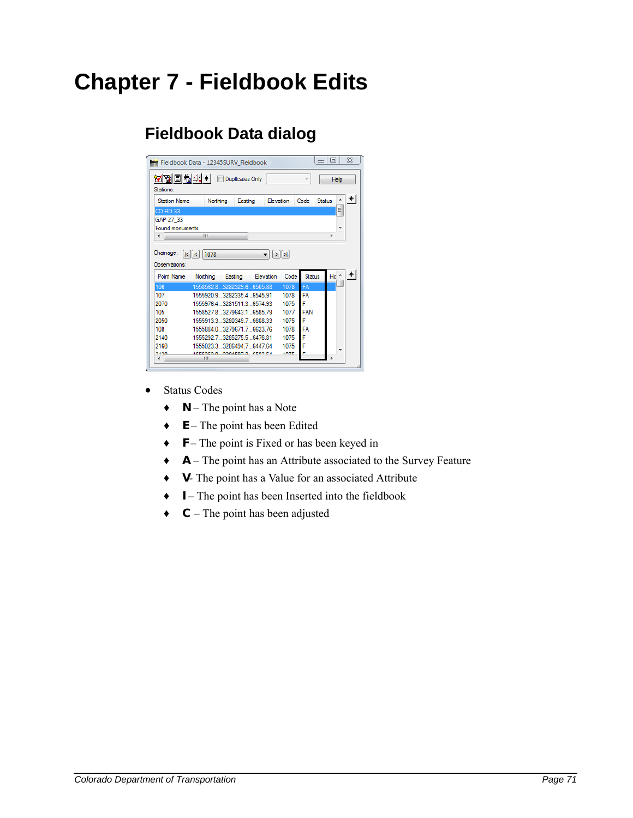# **Chapter 7 - Fieldbook Edits**

### **Fieldbook Data dialog**

|                                    | Fieldbook Data - 12345SURV Fieldbook          |                                                  |                |                   |               | $\Box$<br>$\equiv$ | 53             |
|------------------------------------|-----------------------------------------------|--------------------------------------------------|----------------|-------------------|---------------|--------------------|----------------|
| 제 ■ ■ ■ 기 +<br>Stations:           |                                               | Duplicates Only                                  |                |                   |               |                    | Help           |
| <b>Station Name</b>                | Northing                                      | Easting                                          | Elevation      |                   | Code          | <b>Status</b>      | $\ddot{}$<br>۸ |
| <b>CO RD 33</b>                    |                                               |                                                  |                |                   |               |                    | Ξ              |
| GAP 27 33                          |                                               |                                                  |                |                   |               |                    |                |
| Found monuments                    |                                               |                                                  |                |                   |               |                    |                |
| ∢                                  | Ш                                             |                                                  |                |                   |               | ۱                  |                |
|                                    | 1078<br>$\vert \vert \vert \vert \vert \vert$ |                                                  |                | $>$ $\rightarrow$ |               |                    |                |
| Observations:<br><b>Point Name</b> | Northing                                      | Easting                                          | Elevation      | Code              | <b>Status</b> | $He^+$             | $+$            |
| 106                                |                                               | 1558562.83282329.66505.88                        |                | 1078              | FA            |                    |                |
| 107                                |                                               | 1555920.9 3282335.4 6545.91                      |                | 1078              | FA            |                    |                |
| 2070                               |                                               | 1555976.43281511.36574.93                        |                | 1075              | г             |                    |                |
| 105                                |                                               | 1558527 8 3279643 1 6585 79                      |                | 1077              | <b>FAN</b>    |                    |                |
| 2050                               |                                               | 1555913.3 3280349.7 6608.33                      |                | 1075              |               |                    |                |
| 108                                |                                               | 1555884.0 3279671.7 6623.76                      |                | 1078              | FA            |                    |                |
| 2140                               |                                               | 1555292.7.3285275.5.6476.81                      |                | 1075              | F             |                    |                |
| 2160<br>nero                       |                                               | 1555023 3 3286494 7 6447 64<br>10001010 00040070 | <b>CEDO EX</b> | 1075<br>1070      | F             |                    |                |

- Status Codes
	- ♦ **N** The point has a Note
	- ♦ **E** The point has been Edited
	- ♦ **F** The point is Fixed or has been keyed in
	- ♦ **A** The point has an Attribute associated to the Survey Feature
	- ♦ **V** The point has a Value for an associated Attribute
	- ♦ **I** The point has been Inserted into the fieldbook
	- ♦ **C** The point has been adjusted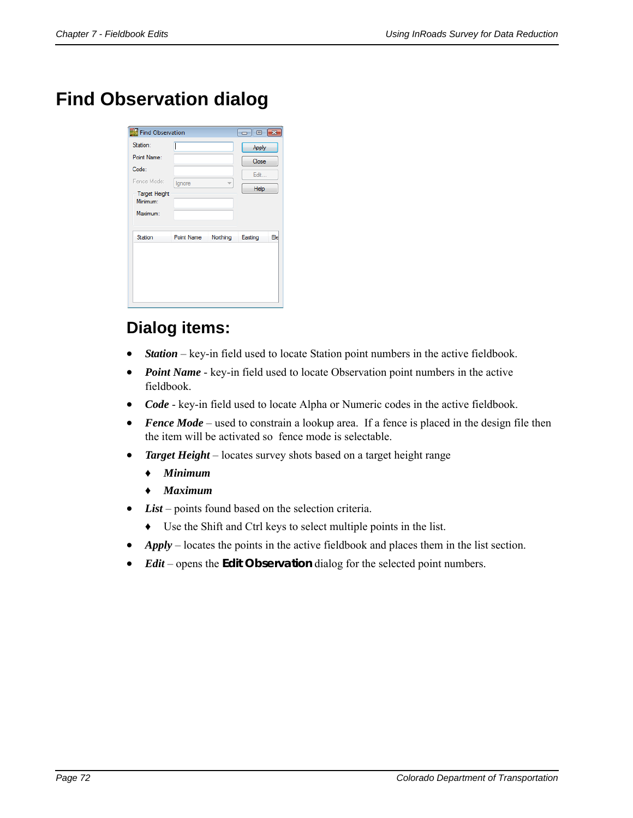## **Find Observation dialog**

| Find Observation                 |                   |          | $\begin{array}{ c c c c }\hline \multicolumn{1}{ c }{\textbf{}} & \multicolumn{1}{ c }{\textbf{}}\hline \multicolumn{1}{ c }{\textbf{}}\hline \multicolumn{1}{ c }{\textbf{}}\hline \multicolumn{1}{ c }{\textbf{}}\hline \multicolumn{1}{ c }{\textbf{}}\hline \multicolumn{1}{ c }{\textbf{}}\hline \multicolumn{1}{ c }{\textbf{}}\hline \multicolumn{1}{ c }{\textbf{}}\hline \multicolumn{1}{ c }{\textbf{}}\hline \multicolumn{1}{ c }{\textbf{$ |     |
|----------------------------------|-------------------|----------|--------------------------------------------------------------------------------------------------------------------------------------------------------------------------------------------------------------------------------------------------------------------------------------------------------------------------------------------------------------------------------------------------------------------------------------------------------|-----|
| Station:                         |                   |          | Apply                                                                                                                                                                                                                                                                                                                                                                                                                                                  |     |
| Point Name:                      |                   |          | Close                                                                                                                                                                                                                                                                                                                                                                                                                                                  |     |
| Code:                            |                   |          | Edit                                                                                                                                                                                                                                                                                                                                                                                                                                                   |     |
| Fence Mode:                      | Ignore            |          |                                                                                                                                                                                                                                                                                                                                                                                                                                                        |     |
| <b>Target Height</b><br>Minimum: |                   |          | Help                                                                                                                                                                                                                                                                                                                                                                                                                                                   |     |
| Maximum:                         |                   |          |                                                                                                                                                                                                                                                                                                                                                                                                                                                        |     |
|                                  |                   |          |                                                                                                                                                                                                                                                                                                                                                                                                                                                        |     |
| Station                          | <b>Point Name</b> | Northing | Easting                                                                                                                                                                                                                                                                                                                                                                                                                                                | Ele |
|                                  |                   |          |                                                                                                                                                                                                                                                                                                                                                                                                                                                        |     |
|                                  |                   |          |                                                                                                                                                                                                                                                                                                                                                                                                                                                        |     |
|                                  |                   |          |                                                                                                                                                                                                                                                                                                                                                                                                                                                        |     |
|                                  |                   |          |                                                                                                                                                                                                                                                                                                                                                                                                                                                        |     |
|                                  |                   |          |                                                                                                                                                                                                                                                                                                                                                                                                                                                        |     |

#### **Dialog items:**

- *Station* key-in field used to locate Station point numbers in the active fieldbook.
- *Point Name* key-in field used to locate Observation point numbers in the active fieldbook.
- *Code* key-in field used to locate Alpha or Numeric codes in the active fieldbook.
- **Fence Mode** used to constrain a lookup area. If a fence is placed in the design file then the item will be activated so fence mode is selectable.
- *Target Height* locates survey shots based on a target height range
	- ♦ *Minimum*
	- ♦ *Maximum*
- *List* points found based on the selection criteria.
	- ♦ Use the Shift and Ctrl keys to select multiple points in the list.
- *Apply* locates the points in the active fieldbook and places them in the list section.
- *Edit* opens the **Edit Observation** dialog for the selected point numbers.